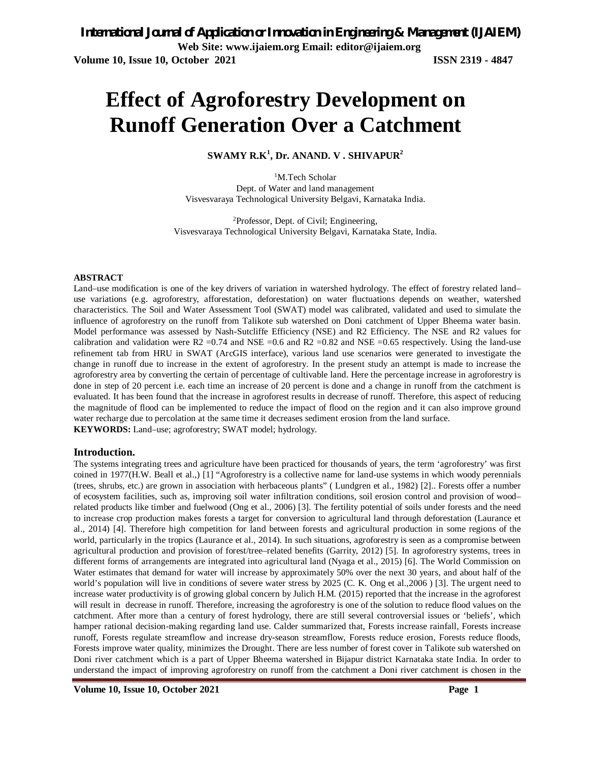# **Effect of Agroforestry Development on Runoff Generation Over a Catchment**

### **SWAMY R.K<sup>1</sup> , Dr. ANAND. V . SHIVAPUR<sup>2</sup>**

<sup>1</sup>M.Tech Scholar Dept. of Water and land management Visvesvaraya Technological University Belgavi, Karnataka India.

<sup>2</sup>Professor, Dept. of Civil; Engineering, Visvesvaraya Technological University Belgavi, Karnataka State, India.

#### **ABSTRACT**

Land–use modification is one of the key drivers of variation in watershed hydrology. The effect of forestry related land– use variations (e.g. agroforestry, afforestation, deforestation) on water fluctuations depends on weather, watershed characteristics. The Soil and Water Assessment Tool (SWAT) model was calibrated, validated and used to simulate the influence of agroforestry on the runoff from Talikote sub watershed on Doni catchment of Upper Bheema water basin. Model performance was assessed by Nash-Sutcliffe Efficiency (NSE) and R2 Efficiency. The NSE and R2 values for calibration and validation were R2 =0.74 and NSE =0.6 and R2 =0.82 and NSE =0.65 respectively. Using the land-use refinement tab from HRU in SWAT (ArcGIS interface), various land use scenarios were generated to investigate the change in runoff due to increase in the extent of agroforestry. In the present study an attempt is made to increase the agroforestry area by converting the certain of percentage of cultivable land. Here the percentage increase in agroforestry is done in step of 20 percent i.e. each time an increase of 20 percent is done and a change in runoff from the catchment is evaluated. It has been found that the increase in agroforest results in decrease of runoff. Therefore, this aspect of reducing the magnitude of flood can be implemented to reduce the impact of flood on the region and it can also improve ground water recharge due to percolation at the same time it decreases sediment erosion from the land surface. **KEYWORDS:** Land–use; agroforestry; SWAT model; hydrology.

#### **Introduction.**

The systems integrating trees and agriculture have been practiced for thousands of years, the term 'agroforestry' was first coined in 1977(H.W. Beall et al.,) [1] "Agroforestry is a collective name for land-use systems in which woody perennials (trees, shrubs, etc.) are grown in association with herbaceous plants" ( Lundgren et al., 1982) [2].. Forests offer a number of ecosystem facilities, such as, improving soil water infiltration conditions, soil erosion control and provision of wood– related products like timber and fuelwood (Ong et al., 2006) [3]. The fertility potential of soils under forests and the need to increase crop production makes forests a target for conversion to agricultural land through deforestation (Laurance et al., 2014) [4]. Therefore high competition for land between forests and agricultural production in some regions of the world, particularly in the tropics (Laurance et al., 2014). In such situations, agroforestry is seen as a compromise between agricultural production and provision of forest/tree–related benefits (Garrity, 2012) [5]. In agroforestry systems, trees in different forms of arrangements are integrated into agricultural land (Nyaga et al., 2015) [6]. The World Commission on Water estimates that demand for water will increase by approximately 50% over the next 30 years, and about half of the world's population will live in conditions of severe water stress by 2025 (C. K. Ong et al.,2006 ) [3]. The urgent need to increase water productivity is of growing global concern by Julich H.M. (2015) reported that the increase in the agroforest will result in decrease in runoff. Therefore, increasing the agroforestry is one of the solution to reduce flood values on the catchment. After more than a century of forest hydrology, there are still several controversial issues or 'beliefs', which hamper rational decision-making regarding land use. Calder summarized that, Forests increase rainfall, Forests increase runoff, Forests regulate streamflow and increase dry-season streamflow, Forests reduce erosion, Forests reduce floods, Forests improve water quality, minimizes the Drought. There are less number of forest cover in Talikote sub watershed on Doni river catchment which is a part of Upper Bheema watershed in Bijapur district Karnataka state India. In order to understand the impact of improving agroforestry on runoff from the catchment a Doni river catchment is chosen in the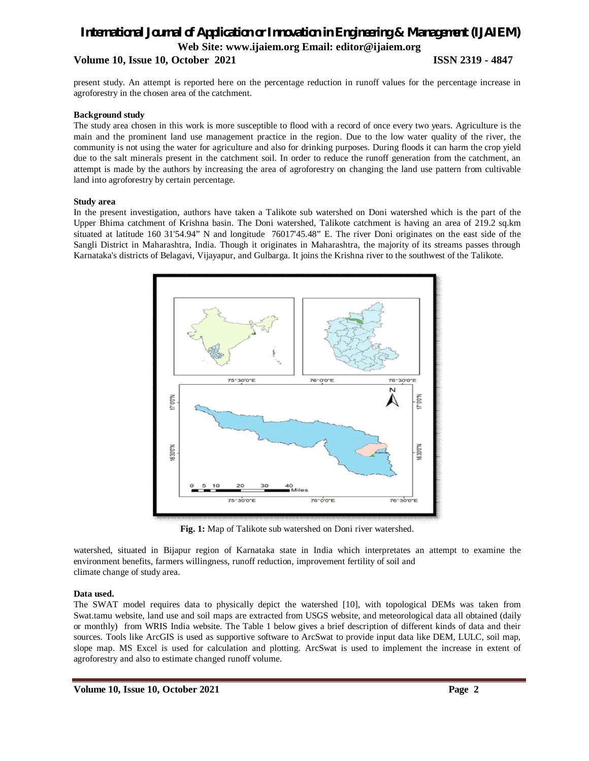### **Volume 10, Issue 10, October 2021 ISSN 2319 - 4847**

present study. An attempt is reported here on the percentage reduction in runoff values for the percentage increase in agroforestry in the chosen area of the catchment.

#### **Background study**

The study area chosen in this work is more susceptible to flood with a record of once every two years. Agriculture is the main and the prominent land use management practice in the region. Due to the low water quality of the river, the community is not using the water for agriculture and also for drinking purposes. During floods it can harm the crop yield due to the salt minerals present in the catchment soil. In order to reduce the runoff generation from the catchment, an attempt is made by the authors by increasing the area of agroforestry on changing the land use pattern from cultivable land into agroforestry by certain percentage.

#### **Study area**

In the present investigation, authors have taken a Talikote sub watershed on Doni watershed which is the part of the Upper Bhima catchment of Krishna basin. The Doni watershed, Talikote catchment is having an area of 219.2 sq.km situated at latitude 160 31'54.94" N and longitude 76017'45.48" E. The river Doni originates on the east side of the Sangli District in Maharashtra, India. Though it originates in Maharashtra, the majority of its streams passes through Karnataka's districts of Belagavi, Vijayapur, and Gulbarga. It joins the Krishna river to the southwest of the Talikote.



**Fig. 1:** Map of Talikote sub watershed on Doni river watershed.

watershed, situated in Bijapur region of Karnataka state in India which interpretates an attempt to examine the environment benefits, farmers willingness, runoff reduction, improvement fertility of soil and climate change of study area.

#### **Data used.**

The SWAT model requires data to physically depict the watershed [10], with topological DEMs was taken from Swat.tamu website, land use and soil maps are extracted from USGS website, and meteorological data all obtained (daily or monthly) from WRIS India website. The Table 1 below gives a brief description of different kinds of data and their sources. Tools like ArcGIS is used as supportive software to ArcSwat to provide input data like DEM, LULC, soil map, slope map. MS Excel is used for calculation and plotting. ArcSwat is used to implement the increase in extent of agroforestry and also to estimate changed runoff volume.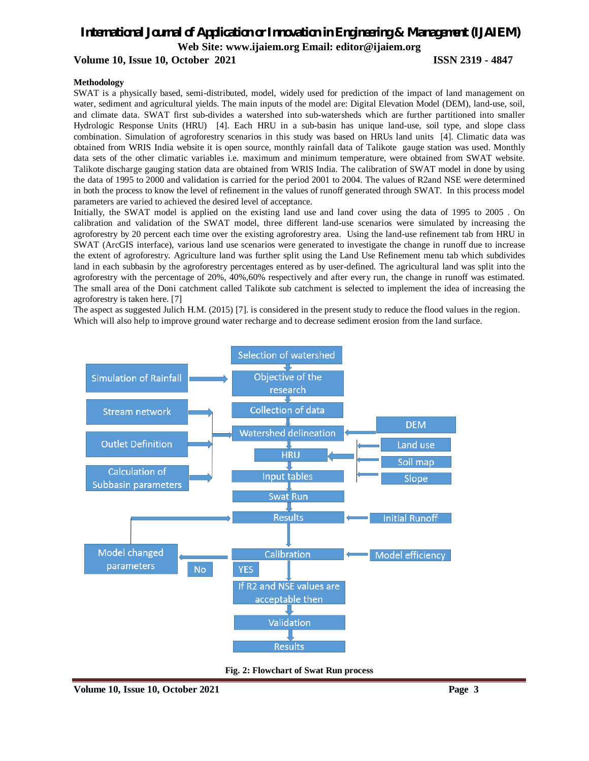#### **Volume 10, Issue 10, October 2021 ISSN 2319 - 4847**

#### **Methodology**

SWAT is a physically based, semi-distributed, model, widely used for prediction of the impact of land management on water, sediment and agricultural yields. The main inputs of the model are: Digital Elevation Model (DEM), land-use, soil, and climate data. SWAT first sub-divides a watershed into sub-watersheds which are further partitioned into smaller Hydrologic Response Units (HRU) [4]. Each HRU in a sub-basin has unique land-use, soil type, and slope class combination. Simulation of agroforestry scenarios in this study was based on HRUs land units [4]. Climatic data was obtained from WRIS India website it is open source, monthly rainfall data of Talikote gauge station was used. Monthly data sets of the other climatic variables i.e. maximum and minimum temperature, were obtained from SWAT website. Talikote discharge gauging station data are obtained from WRIS India. The calibration of SWAT model in done by using the data of 1995 to 2000 and validation is carried for the period 2001 to 2004. The values of R2and NSE were determined in both the process to know the level of refinement in the values of runoff generated through SWAT. In this process model parameters are varied to achieved the desired level of acceptance.

Initially, the SWAT model is applied on the existing land use and land cover using the data of 1995 to 2005 . On calibration and validation of the SWAT model, three different land-use scenarios were simulated by increasing the agroforestry by 20 percent each time over the existing agroforestry area. Using the land-use refinement tab from HRU in SWAT (ArcGIS interface), various land use scenarios were generated to investigate the change in runoff due to increase the extent of agroforestry. Agriculture land was further split using the Land Use Refinement menu tab which subdivides land in each subbasin by the agroforestry percentages entered as by user-defined. The agricultural land was split into the agroforestry with the percentage of 20%, 40%,60% respectively and after every run, the change in runoff was estimated. The small area of the Doni catchment called Talikote sub catchment is selected to implement the idea of increasing the agroforestry is taken here. [7]

The aspect as suggested Julich H.M. (2015) [7]. is considered in the present study to reduce the flood values in the region. Which will also help to improve ground water recharge and to decrease sediment erosion from the land surface.



**Fig. 2: Flowchart of Swat Run process**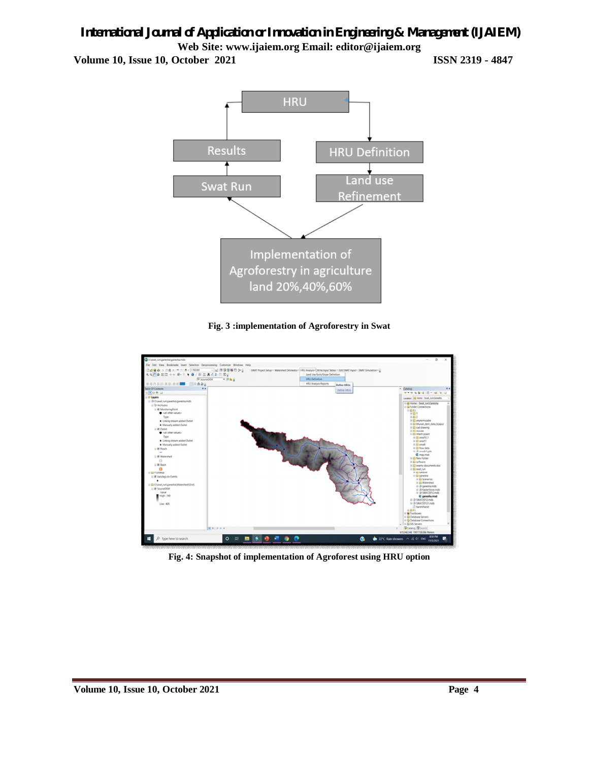**Volume 10, Issue 10, October 2021 ISSN 2319 - 4847**



### **Fig. 3 :implementation of Agroforestry in Swat**



**Fig. 4: Snapshot of implementation of Agroforest using HRU option**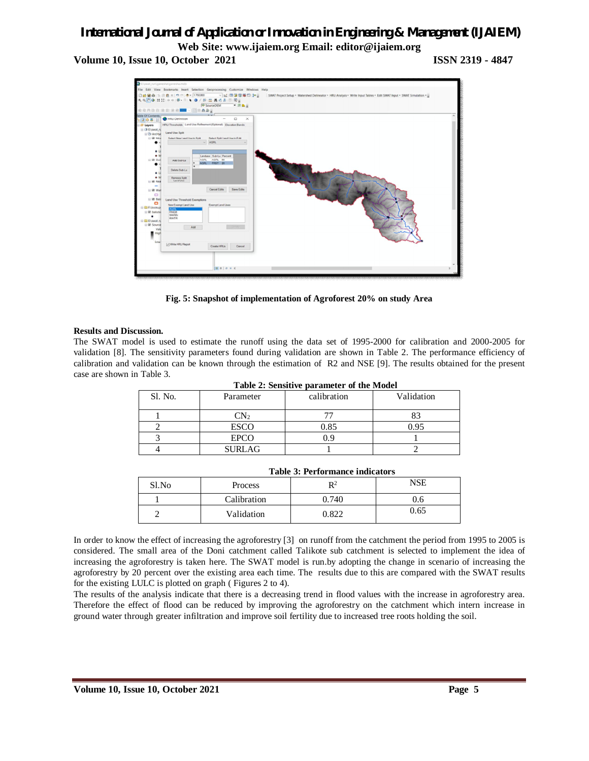**Volume 10, Issue 10, October 2021 ISSN 2319 - 4847**



**Fig. 5: Snapshot of implementation of Agroforest 20% on study Area**

#### **Results and Discussion.**

The SWAT model is used to estimate the runoff using the data set of 1995-2000 for calibration and 2000-2005 for validation [8]. The sensitivity parameters found during validation are shown in Table 2. The performance efficiency of calibration and validation can be known through the estimation of R2 and NSE [9]. The results obtained for the present case are shown in Table 3.

| <b>Table 2: Sensitive parameter of the Model</b> |               |             |            |  |
|--------------------------------------------------|---------------|-------------|------------|--|
| Sl. No.                                          | Parameter     | calibration | Validation |  |
|                                                  | $\text{CN}_2$ |             |            |  |
|                                                  | <b>ESCO</b>   | 0.85        | 0.95       |  |
|                                                  | <b>EPCO</b>   | 0.9         |            |  |
|                                                  | <b>SURLAG</b> |             |            |  |

**Table 2: Sensitive parameter of the Model**

| Table 9. I chon mance mulcators |                |       |      |  |
|---------------------------------|----------------|-------|------|--|
| Sl.No                           | <b>Process</b> | D2    | NSE  |  |
|                                 | Calibration    | 0.740 | J.6  |  |
|                                 | Validation     | 0.822 | 0.65 |  |

**Table 3: Performance indicators**

In order to know the effect of increasing the agroforestry [3] on runoff from the catchment the period from 1995 to 2005 is considered. The small area of the Doni catchment called Talikote sub catchment is selected to implement the idea of increasing the agroforestry is taken here. The SWAT model is run.by adopting the change in scenario of increasing the agroforestry by 20 percent over the existing area each time. The results due to this are compared with the SWAT results for the existing LULC is plotted on graph ( Figures 2 to 4).

The results of the analysis indicate that there is a decreasing trend in flood values with the increase in agroforestry area. Therefore the effect of flood can be reduced by improving the agroforestry on the catchment which intern increase in ground water through greater infiltration and improve soil fertility due to increased tree roots holding the soil.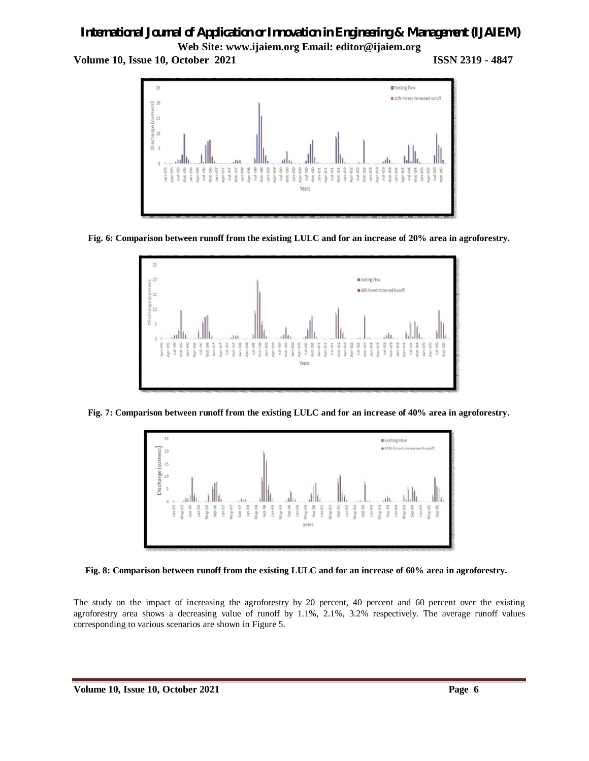**Volume 10, Issue 10, October 2021 ISSN 2319 - 4847**



**Fig. 6: Comparison between runoff from the existing LULC and for an increase of 20% area in agroforestry.**



 **Fig. 7: Comparison between runoff from the existing LULC and for an increase of 40% area in agroforestry.**





The study on the impact of increasing the agroforestry by 20 percent, 40 percent and 60 percent over the existing agroforestry area shows a decreasing value of runoff by 1.1%, 2.1%, 3.2% respectively. The average runoff values corresponding to various scenarios are shown in Figure 5.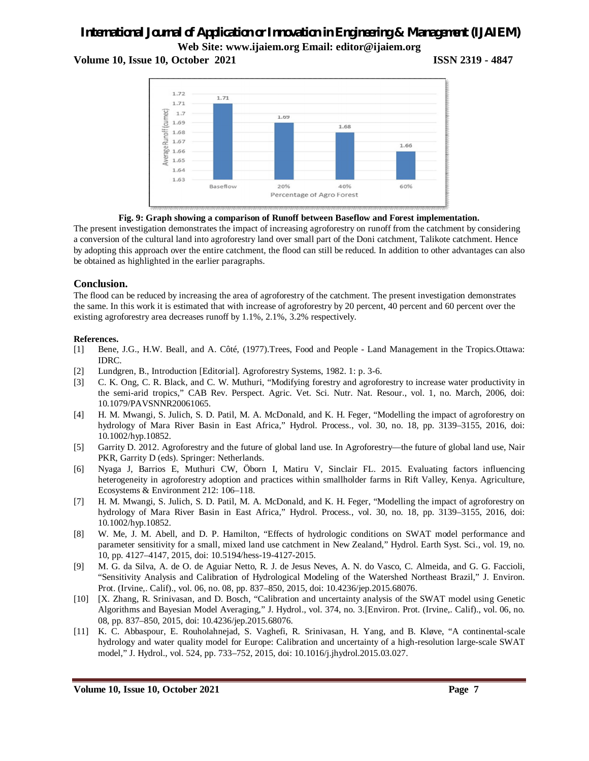#### **Volume 10, Issue 10, October 2021 ISSN 2319 - 4847**





The present investigation demonstrates the impact of increasing agroforestry on runoff from the catchment by considering a conversion of the cultural land into agroforestry land over small part of the Doni catchment, Talikote catchment. Hence by adopting this approach over the entire catchment, the flood can still be reduced. In addition to other advantages can also be obtained as highlighted in the earlier paragraphs.

#### **Conclusion.**

The flood can be reduced by increasing the area of agroforestry of the catchment. The present investigation demonstrates the same. In this work it is estimated that with increase of agroforestry by 20 percent, 40 percent and 60 percent over the existing agroforestry area decreases runoff by 1.1%, 2.1%, 3.2% respectively.

#### **References.**

- [1] Bene, J.G., H.W. Beall, and A. Côté, (1977).Trees, Food and People Land Management in the Tropics.Ottawa: IDRC.
- [2] Lundgren, B., Introduction [Editorial]. Agroforestry Systems, 1982. 1: p. 3-6.
- [3] C. K. Ong, C. R. Black, and C. W. Muthuri, "Modifying forestry and agroforestry to increase water productivity in the semi-arid tropics," CAB Rev. Perspect. Agric. Vet. Sci. Nutr. Nat. Resour., vol. 1, no. March, 2006, doi: 10.1079/PAVSNNR20061065.
- [4] H. M. Mwangi, S. Julich, S. D. Patil, M. A. McDonald, and K. H. Feger, "Modelling the impact of agroforestry on hydrology of Mara River Basin in East Africa," Hydrol. Process., vol. 30, no. 18, pp. 3139–3155, 2016, doi: 10.1002/hyp.10852.
- [5] Garrity D. 2012. Agroforestry and the future of global land use. In Agroforestry—the future of global land use, Nair PKR, Garrity D (eds). Springer: Netherlands.
- [6] Nyaga J, Barrios E, Muthuri CW, Öborn I, Matiru V, Sinclair FL. 2015. Evaluating factors influencing heterogeneity in agroforestry adoption and practices within smallholder farms in Rift Valley, Kenya. Agriculture, Ecosystems & Environment 212: 106–118.
- [7] H. M. Mwangi, S. Julich, S. D. Patil, M. A. McDonald, and K. H. Feger, "Modelling the impact of agroforestry on hydrology of Mara River Basin in East Africa," Hydrol. Process., vol. 30, no. 18, pp. 3139–3155, 2016, doi: 10.1002/hyp.10852.
- [8] W. Me, J. M. Abell, and D. P. Hamilton, "Effects of hydrologic conditions on SWAT model performance and parameter sensitivity for a small, mixed land use catchment in New Zealand," Hydrol. Earth Syst. Sci., vol. 19, no. 10, pp. 4127–4147, 2015, doi: 10.5194/hess-19-4127-2015.
- [9] M. G. da Silva, A. de O. de Aguiar Netto, R. J. de Jesus Neves, A. N. do Vasco, C. Almeida, and G. G. Faccioli, "Sensitivity Analysis and Calibration of Hydrological Modeling of the Watershed Northeast Brazil," J. Environ. Prot. (Irvine,. Calif)., vol. 06, no. 08, pp. 837–850, 2015, doi: 10.4236/jep.2015.68076.
- [10] [X. Zhang, R. Srinivasan, and D. Bosch, "Calibration and uncertainty analysis of the SWAT model using Genetic Algorithms and Bayesian Model Averaging," J. Hydrol., vol. 374, no. 3.[Environ. Prot. (Irvine,. Calif)., vol. 06, no. 08, pp. 837–850, 2015, doi: 10.4236/jep.2015.68076.
- [11] K. C. Abbaspour, E. Rouholahnejad, S. Vaghefi, R. Srinivasan, H. Yang, and B. Kløve, "A continental-scale hydrology and water quality model for Europe: Calibration and uncertainty of a high-resolution large-scale SWAT model," J. Hydrol., vol. 524, pp. 733–752, 2015, doi: 10.1016/j.jhydrol.2015.03.027.